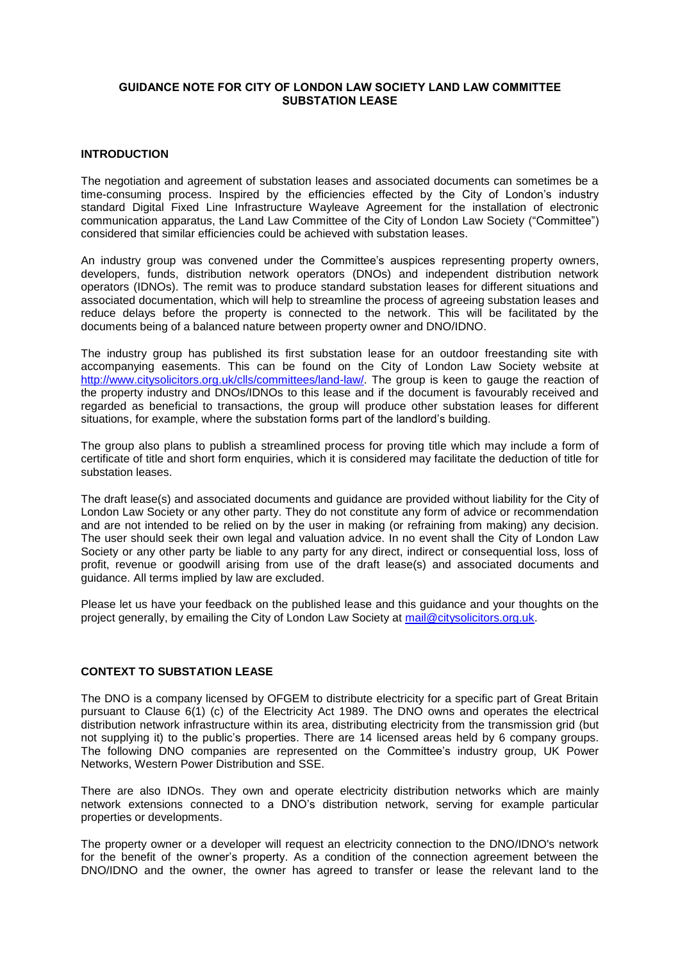# **GUIDANCE NOTE FOR CITY OF LONDON LAW SOCIETY LAND LAW COMMITTEE SUBSTATION LEASE**

# **INTRODUCTION**

The negotiation and agreement of substation leases and associated documents can sometimes be a time-consuming process. Inspired by the efficiencies effected by the City of London's industry standard Digital Fixed Line Infrastructure Wayleave Agreement for the installation of electronic communication apparatus, the Land Law Committee of the City of London Law Society ("Committee") considered that similar efficiencies could be achieved with substation leases.

An industry group was convened under the Committee's auspices representing property owners, developers, funds, distribution network operators (DNOs) and independent distribution network operators (IDNOs). The remit was to produce standard substation leases for different situations and associated documentation, which will help to streamline the process of agreeing substation leases and reduce delays before the property is connected to the network. This will be facilitated by the documents being of a balanced nature between property owner and DNO/IDNO.

The industry group has published its first substation lease for an outdoor freestanding site with accompanying easements. This can be found on the City of London Law Society website at [http://www.citysolicitors.org.uk/clls/committees/land-law/.](http://www.citysolicitors.org.uk/clls/committees/land-law/) The group is keen to gauge the reaction of the property industry and DNOs/IDNOs to this lease and if the document is favourably received and regarded as beneficial to transactions, the group will produce other substation leases for different situations, for example, where the substation forms part of the landlord's building.

The group also plans to publish a streamlined process for proving title which may include a form of certificate of title and short form enquiries, which it is considered may facilitate the deduction of title for substation leases.

The draft lease(s) and associated documents and guidance are provided without liability for the City of London Law Society or any other party. They do not constitute any form of advice or recommendation and are not intended to be relied on by the user in making (or refraining from making) any decision. The user should seek their own legal and valuation advice. In no event shall the City of London Law Society or any other party be liable to any party for any direct, indirect or consequential loss, loss of profit, revenue or goodwill arising from use of the draft lease(s) and associated documents and guidance. All terms implied by law are excluded.

Please let us have your feedback on the published lease and this guidance and your thoughts on the project generally, by emailing the City of London Law Society at [mail@citysolicitors.org.uk.](mailto:mail@citysolicitors.org.uk)

# **CONTEXT TO SUBSTATION LEASE**

The DNO is a company licensed by OFGEM to distribute electricity for a specific part of Great Britain pursuant to Clause 6(1) (c) of the Electricity Act 1989. The DNO owns and operates the electrical distribution network infrastructure within its area, distributing electricity from the transmission grid (but not supplying it) to the public's properties. There are 14 licensed areas held by 6 company groups. The following DNO companies are represented on the Committee's industry group, UK Power Networks, Western Power Distribution and SSE.

There are also IDNOs. They own and operate electricity distribution networks which are mainly network extensions connected to a DNO's distribution network, serving for example particular properties or developments.

The property owner or a developer will request an electricity connection to the DNO/IDNO's network for the benefit of the owner's property. As a condition of the connection agreement between the DNO/IDNO and the owner, the owner has agreed to transfer or lease the relevant land to the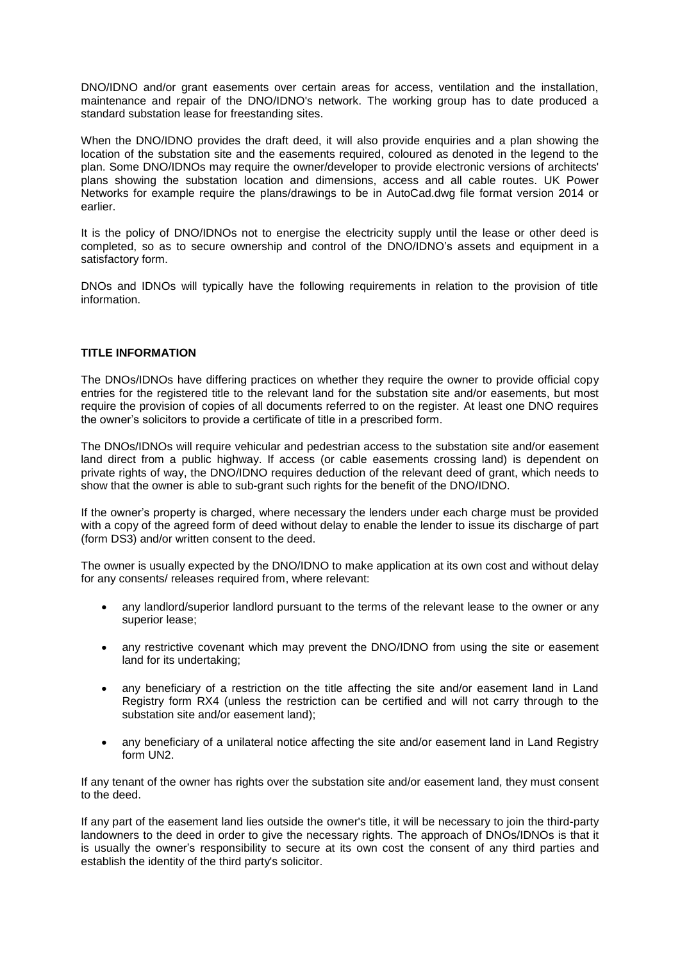DNO/IDNO and/or grant easements over certain areas for access, ventilation and the installation, maintenance and repair of the DNO/IDNO's network. The working group has to date produced a standard substation lease for freestanding sites.

When the DNO/IDNO provides the draft deed, it will also provide enquiries and a plan showing the location of the substation site and the easements required, coloured as denoted in the legend to the plan. Some DNO/IDNOs may require the owner/developer to provide electronic versions of architects' plans showing the substation location and dimensions, access and all cable routes. UK Power Networks for example require the plans/drawings to be in AutoCad.dwg file format version 2014 or earlier.

It is the policy of DNO/IDNOs not to energise the electricity supply until the lease or other deed is completed, so as to secure ownership and control of the DNO/IDNO's assets and equipment in a satisfactory form.

DNOs and IDNOs will typically have the following requirements in relation to the provision of title information.

#### **TITLE INFORMATION**

The DNOs/IDNOs have differing practices on whether they require the owner to provide official copy entries for the registered title to the relevant land for the substation site and/or easements, but most require the provision of copies of all documents referred to on the register. At least one DNO requires the owner's solicitors to provide a certificate of title in a prescribed form.

The DNOs/IDNOs will require vehicular and pedestrian access to the substation site and/or easement land direct from a public highway. If access (or cable easements crossing land) is dependent on private rights of way, the DNO/IDNO requires deduction of the relevant deed of grant, which needs to show that the owner is able to sub-grant such rights for the benefit of the DNO/IDNO.

If the owner's property is charged, where necessary the lenders under each charge must be provided with a copy of the agreed form of deed without delay to enable the lender to issue its discharge of part (form DS3) and/or written consent to the deed.

The owner is usually expected by the DNO/IDNO to make application at its own cost and without delay for any consents/ releases required from, where relevant:

- any landlord/superior landlord pursuant to the terms of the relevant lease to the owner or any superior lease;
- any restrictive covenant which may prevent the DNO/IDNO from using the site or easement land for its undertaking;
- any beneficiary of a restriction on the title affecting the site and/or easement land in Land Registry form RX4 (unless the restriction can be certified and will not carry through to the substation site and/or easement land);
- any beneficiary of a unilateral notice affecting the site and/or easement land in Land Registry form UN2.

If any tenant of the owner has rights over the substation site and/or easement land, they must consent to the deed.

If any part of the easement land lies outside the owner's title, it will be necessary to join the third-party landowners to the deed in order to give the necessary rights. The approach of DNOs/IDNOs is that it is usually the owner's responsibility to secure at its own cost the consent of any third parties and establish the identity of the third party's solicitor.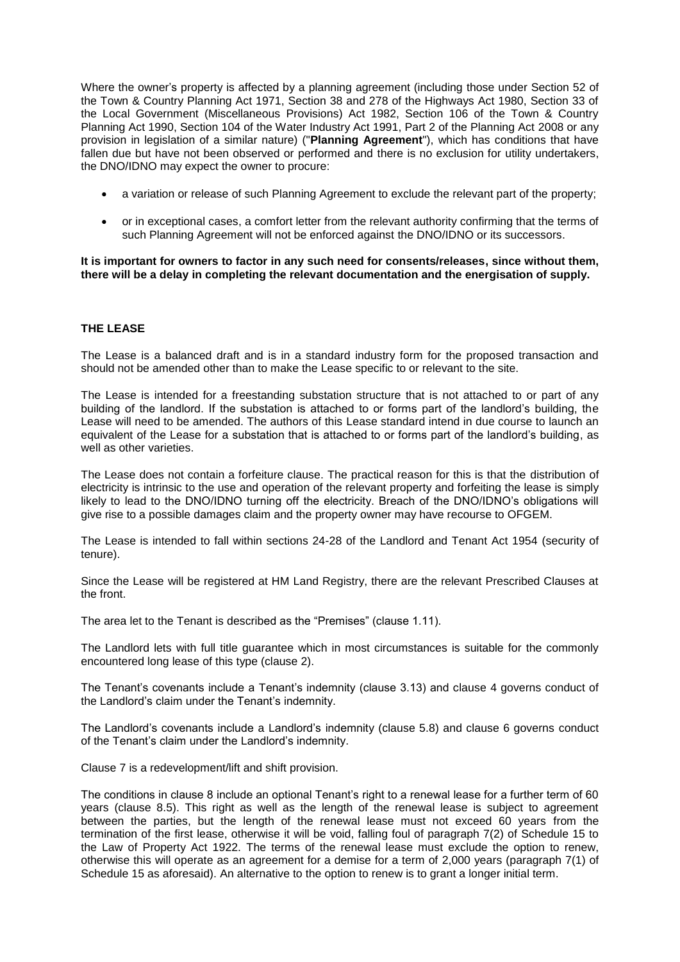Where the owner's property is affected by a planning agreement (including those under Section 52 of the Town & Country Planning Act 1971, Section 38 and 278 of the Highways Act 1980, Section 33 of the Local Government (Miscellaneous Provisions) Act 1982, Section 106 of the Town & Country Planning Act 1990, Section 104 of the Water Industry Act 1991, Part 2 of the Planning Act 2008 or any provision in legislation of a similar nature) ("**Planning Agreement**"), which has conditions that have fallen due but have not been observed or performed and there is no exclusion for utility undertakers, the DNO/IDNO may expect the owner to procure:

- a variation or release of such Planning Agreement to exclude the relevant part of the property;
- or in exceptional cases, a comfort letter from the relevant authority confirming that the terms of such Planning Agreement will not be enforced against the DNO/IDNO or its successors.

**It is important for owners to factor in any such need for consents/releases, since without them, there will be a delay in completing the relevant documentation and the energisation of supply.**

# **THE LEASE**

The Lease is a balanced draft and is in a standard industry form for the proposed transaction and should not be amended other than to make the Lease specific to or relevant to the site.

The Lease is intended for a freestanding substation structure that is not attached to or part of any building of the landlord. If the substation is attached to or forms part of the landlord's building, the Lease will need to be amended. The authors of this Lease standard intend in due course to launch an equivalent of the Lease for a substation that is attached to or forms part of the landlord's building, as well as other varieties.

The Lease does not contain a forfeiture clause. The practical reason for this is that the distribution of electricity is intrinsic to the use and operation of the relevant property and forfeiting the lease is simply likely to lead to the DNO/IDNO turning off the electricity. Breach of the DNO/IDNO's obligations will give rise to a possible damages claim and the property owner may have recourse to OFGEM.

The Lease is intended to fall within sections 24-28 of the Landlord and Tenant Act 1954 (security of tenure).

Since the Lease will be registered at HM Land Registry, there are the relevant Prescribed Clauses at the front.

The area let to the Tenant is described as the "Premises" (clause 1.11).

The Landlord lets with full title guarantee which in most circumstances is suitable for the commonly encountered long lease of this type (clause 2).

The Tenant's covenants include a Tenant's indemnity (clause 3.13) and clause 4 governs conduct of the Landlord's claim under the Tenant's indemnity.

The Landlord's covenants include a Landlord's indemnity (clause 5.8) and clause 6 governs conduct of the Tenant's claim under the Landlord's indemnity.

Clause 7 is a redevelopment/lift and shift provision.

The conditions in clause 8 include an optional Tenant's right to a renewal lease for a further term of 60 years (clause 8.5). This right as well as the length of the renewal lease is subject to agreement between the parties, but the length of the renewal lease must not exceed 60 years from the termination of the first lease, otherwise it will be void, falling foul of paragraph 7(2) of Schedule 15 to the Law of Property Act 1922. The terms of the renewal lease must exclude the option to renew, otherwise this will operate as an agreement for a demise for a term of 2,000 years (paragraph 7(1) of Schedule 15 as aforesaid). An alternative to the option to renew is to grant a longer initial term.